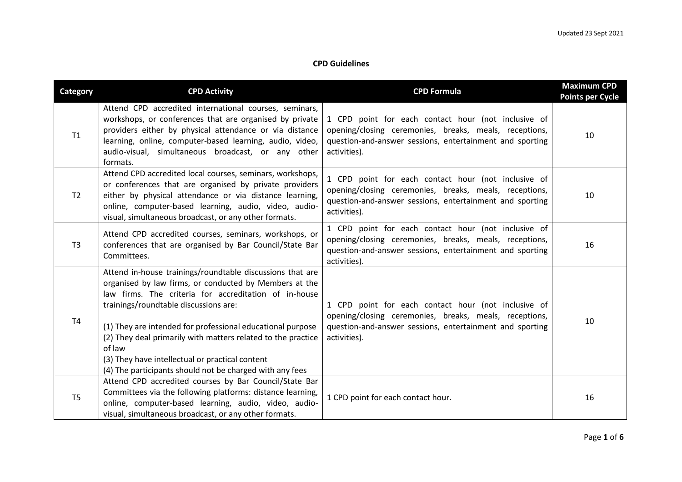## **CPD Guidelines**

| <b>Category</b> | <b>CPD Activity</b>                                                                                                                                                                                                                                                                                                                                                                                                                                                          | <b>CPD Formula</b>                                                                                                                                                                        | <b>Maximum CPD</b><br><b>Points per Cycle</b> |
|-----------------|------------------------------------------------------------------------------------------------------------------------------------------------------------------------------------------------------------------------------------------------------------------------------------------------------------------------------------------------------------------------------------------------------------------------------------------------------------------------------|-------------------------------------------------------------------------------------------------------------------------------------------------------------------------------------------|-----------------------------------------------|
| T1              | Attend CPD accredited international courses, seminars,<br>workshops, or conferences that are organised by private<br>providers either by physical attendance or via distance<br>learning, online, computer-based learning, audio, video,<br>audio-visual, simultaneous broadcast, or any other<br>formats.                                                                                                                                                                   | 1 CPD point for each contact hour (not inclusive of<br>opening/closing ceremonies, breaks, meals, receptions,<br>question-and-answer sessions, entertainment and sporting<br>activities). | 10                                            |
| T <sub>2</sub>  | Attend CPD accredited local courses, seminars, workshops,<br>or conferences that are organised by private providers<br>either by physical attendance or via distance learning,<br>online, computer-based learning, audio, video, audio-<br>visual, simultaneous broadcast, or any other formats.                                                                                                                                                                             | 1 CPD point for each contact hour (not inclusive of<br>opening/closing ceremonies, breaks, meals, receptions,<br>question-and-answer sessions, entertainment and sporting<br>activities). | 10                                            |
| T <sub>3</sub>  | Attend CPD accredited courses, seminars, workshops, or<br>conferences that are organised by Bar Council/State Bar<br>Committees.                                                                                                                                                                                                                                                                                                                                             | 1 CPD point for each contact hour (not inclusive of<br>opening/closing ceremonies, breaks, meals, receptions,<br>question-and-answer sessions, entertainment and sporting<br>activities). | 16                                            |
| T <sub>4</sub>  | Attend in-house trainings/roundtable discussions that are<br>organised by law firms, or conducted by Members at the<br>law firms. The criteria for accreditation of in-house<br>trainings/roundtable discussions are:<br>(1) They are intended for professional educational purpose<br>(2) They deal primarily with matters related to the practice<br>of law<br>(3) They have intellectual or practical content<br>(4) The participants should not be charged with any fees | 1 CPD point for each contact hour (not inclusive of<br>opening/closing ceremonies, breaks, meals, receptions,<br>question-and-answer sessions, entertainment and sporting<br>activities). | 10                                            |
| T <sub>5</sub>  | Attend CPD accredited courses by Bar Council/State Bar<br>Committees via the following platforms: distance learning,<br>online, computer-based learning, audio, video, audio-<br>visual, simultaneous broadcast, or any other formats.                                                                                                                                                                                                                                       | 1 CPD point for each contact hour.                                                                                                                                                        | 16                                            |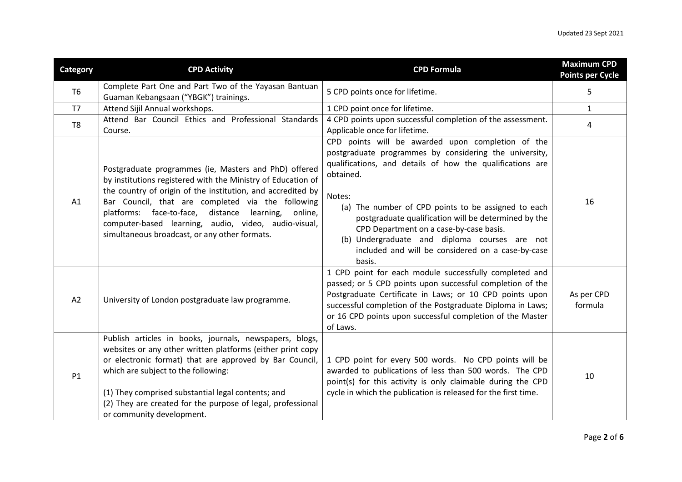| <b>Category</b> | <b>CPD Activity</b>                                                                                                                                                                                                                                                                                                                                                                                          | <b>CPD Formula</b>                                                                                                                                                                                                                                                                                                                                                                                                                                                        | <b>Maximum CPD</b><br><b>Points per Cycle</b> |
|-----------------|--------------------------------------------------------------------------------------------------------------------------------------------------------------------------------------------------------------------------------------------------------------------------------------------------------------------------------------------------------------------------------------------------------------|---------------------------------------------------------------------------------------------------------------------------------------------------------------------------------------------------------------------------------------------------------------------------------------------------------------------------------------------------------------------------------------------------------------------------------------------------------------------------|-----------------------------------------------|
| T <sub>6</sub>  | Complete Part One and Part Two of the Yayasan Bantuan<br>Guaman Kebangsaan ("YBGK") trainings.                                                                                                                                                                                                                                                                                                               | 5 CPD points once for lifetime.                                                                                                                                                                                                                                                                                                                                                                                                                                           | 5                                             |
| T7              | Attend Sijil Annual workshops.                                                                                                                                                                                                                                                                                                                                                                               | 1 CPD point once for lifetime.                                                                                                                                                                                                                                                                                                                                                                                                                                            | $\mathbf{1}$                                  |
| T <sub>8</sub>  | Attend Bar Council Ethics and Professional Standards<br>Course.                                                                                                                                                                                                                                                                                                                                              | 4 CPD points upon successful completion of the assessment.<br>Applicable once for lifetime.                                                                                                                                                                                                                                                                                                                                                                               | 4                                             |
| A1              | Postgraduate programmes (ie, Masters and PhD) offered<br>by institutions registered with the Ministry of Education of<br>the country of origin of the institution, and accredited by<br>Bar Council, that are completed via the following<br>platforms: face-to-face, distance learning,<br>online,<br>computer-based learning, audio, video, audio-visual,<br>simultaneous broadcast, or any other formats. | CPD points will be awarded upon completion of the<br>postgraduate programmes by considering the university,<br>qualifications, and details of how the qualifications are<br>obtained.<br>Notes:<br>(a) The number of CPD points to be assigned to each<br>postgraduate qualification will be determined by the<br>CPD Department on a case-by-case basis.<br>(b) Undergraduate and diploma courses are not<br>included and will be considered on a case-by-case<br>basis. | 16                                            |
| A2              | University of London postgraduate law programme.                                                                                                                                                                                                                                                                                                                                                             | 1 CPD point for each module successfully completed and<br>passed; or 5 CPD points upon successful completion of the<br>Postgraduate Certificate in Laws; or 10 CPD points upon<br>successful completion of the Postgraduate Diploma in Laws;<br>or 16 CPD points upon successful completion of the Master<br>of Laws.                                                                                                                                                     | As per CPD<br>formula                         |
| P1              | Publish articles in books, journals, newspapers, blogs,<br>websites or any other written platforms (either print copy<br>or electronic format) that are approved by Bar Council,<br>which are subject to the following:<br>(1) They comprised substantial legal contents; and<br>(2) They are created for the purpose of legal, professional<br>or community development.                                    | 1 CPD point for every 500 words. No CPD points will be<br>awarded to publications of less than 500 words. The CPD<br>point(s) for this activity is only claimable during the CPD<br>cycle in which the publication is released for the first time.                                                                                                                                                                                                                        | 10                                            |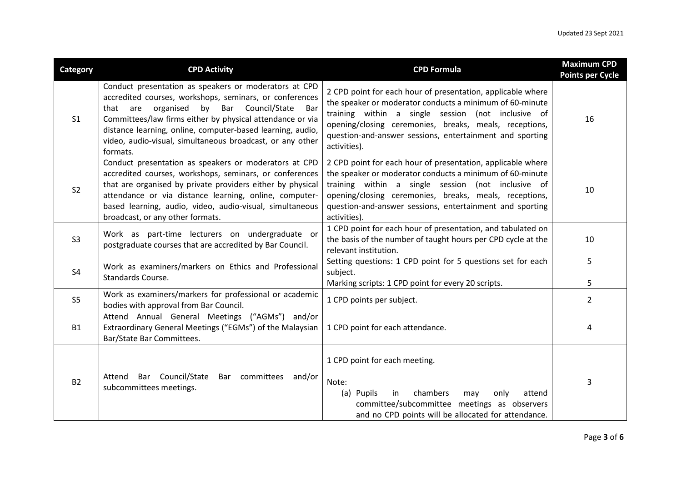| Category       | <b>CPD Activity</b>                                                                                                                                                                                                                                                                                                                                                             | <b>CPD Formula</b>                                                                                                                                                                                                                                                                                                  | <b>Maximum CPD</b><br><b>Points per Cycle</b> |
|----------------|---------------------------------------------------------------------------------------------------------------------------------------------------------------------------------------------------------------------------------------------------------------------------------------------------------------------------------------------------------------------------------|---------------------------------------------------------------------------------------------------------------------------------------------------------------------------------------------------------------------------------------------------------------------------------------------------------------------|-----------------------------------------------|
| S <sub>1</sub> | Conduct presentation as speakers or moderators at CPD<br>accredited courses, workshops, seminars, or conferences<br>Bar Council/State<br>organised<br>by<br>that are<br>Bar<br>Committees/law firms either by physical attendance or via<br>distance learning, online, computer-based learning, audio,<br>video, audio-visual, simultaneous broadcast, or any other<br>formats. | 2 CPD point for each hour of presentation, applicable where<br>the speaker or moderator conducts a minimum of 60-minute<br>training within a single session (not inclusive of<br>opening/closing ceremonies, breaks, meals, receptions,<br>question-and-answer sessions, entertainment and sporting<br>activities). | 16                                            |
| S <sub>2</sub> | Conduct presentation as speakers or moderators at CPD<br>accredited courses, workshops, seminars, or conferences<br>that are organised by private providers either by physical<br>attendance or via distance learning, online, computer-<br>based learning, audio, video, audio-visual, simultaneous<br>broadcast, or any other formats.                                        | 2 CPD point for each hour of presentation, applicable where<br>the speaker or moderator conducts a minimum of 60-minute<br>training within a single session (not inclusive of<br>opening/closing ceremonies, breaks, meals, receptions,<br>question-and-answer sessions, entertainment and sporting<br>activities). | 10                                            |
| S <sub>3</sub> | Work as part-time lecturers on undergraduate or<br>postgraduate courses that are accredited by Bar Council.                                                                                                                                                                                                                                                                     | 1 CPD point for each hour of presentation, and tabulated on<br>the basis of the number of taught hours per CPD cycle at the<br>relevant institution.                                                                                                                                                                | 10                                            |
| S <sub>4</sub> | Work as examiners/markers on Ethics and Professional<br>Standards Course.                                                                                                                                                                                                                                                                                                       | Setting questions: 1 CPD point for 5 questions set for each<br>subject.<br>Marking scripts: 1 CPD point for every 20 scripts.                                                                                                                                                                                       | 5<br>5                                        |
| S <sub>5</sub> | Work as examiners/markers for professional or academic<br>bodies with approval from Bar Council.                                                                                                                                                                                                                                                                                | 1 CPD points per subject.                                                                                                                                                                                                                                                                                           | $\overline{2}$                                |
| <b>B1</b>      | Attend Annual General Meetings ("AGMs") and/or<br>Extraordinary General Meetings ("EGMs") of the Malaysian<br>Bar/State Bar Committees.                                                                                                                                                                                                                                         | 1 CPD point for each attendance.                                                                                                                                                                                                                                                                                    | 4                                             |
| <b>B2</b>      | Bar Council/State<br>Bar committees and/or<br>Attend<br>subcommittees meetings.                                                                                                                                                                                                                                                                                                 | 1 CPD point for each meeting.<br>Note:<br>(a) Pupils<br>chambers<br>in<br>attend<br>only<br>may<br>committee/subcommittee meetings as observers<br>and no CPD points will be allocated for attendance.                                                                                                              | 3                                             |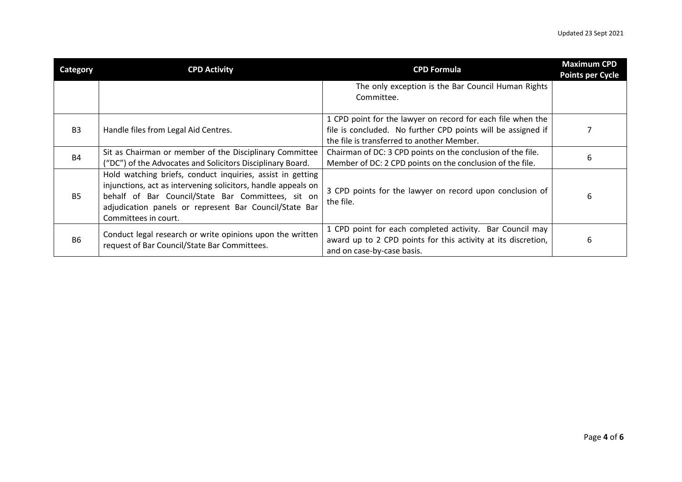| Category       | <b>CPD Activity</b>                                                                                                                                                                                                                                                 | <b>CPD Formula</b>                                                                                                                                                        | <b>Maximum CPD</b><br><b>Points per Cycle</b> |
|----------------|---------------------------------------------------------------------------------------------------------------------------------------------------------------------------------------------------------------------------------------------------------------------|---------------------------------------------------------------------------------------------------------------------------------------------------------------------------|-----------------------------------------------|
|                |                                                                                                                                                                                                                                                                     | The only exception is the Bar Council Human Rights<br>Committee.                                                                                                          |                                               |
| B <sub>3</sub> | Handle files from Legal Aid Centres.                                                                                                                                                                                                                                | 1 CPD point for the lawyer on record for each file when the<br>file is concluded. No further CPD points will be assigned if<br>the file is transferred to another Member. |                                               |
| <b>B4</b>      | Sit as Chairman or member of the Disciplinary Committee<br>("DC") of the Advocates and Solicitors Disciplinary Board.                                                                                                                                               | Chairman of DC: 3 CPD points on the conclusion of the file.<br>Member of DC: 2 CPD points on the conclusion of the file.                                                  | 6                                             |
| <b>B5</b>      | Hold watching briefs, conduct inquiries, assist in getting<br>injunctions, act as intervening solicitors, handle appeals on<br>behalf of Bar Council/State Bar Committees, sit on<br>adjudication panels or represent Bar Council/State Bar<br>Committees in court. | 3 CPD points for the lawyer on record upon conclusion of<br>the file.                                                                                                     | 6                                             |
| <b>B6</b>      | Conduct legal research or write opinions upon the written<br>request of Bar Council/State Bar Committees.                                                                                                                                                           | 1 CPD point for each completed activity. Bar Council may<br>award up to 2 CPD points for this activity at its discretion,<br>and on case-by-case basis.                   | 6                                             |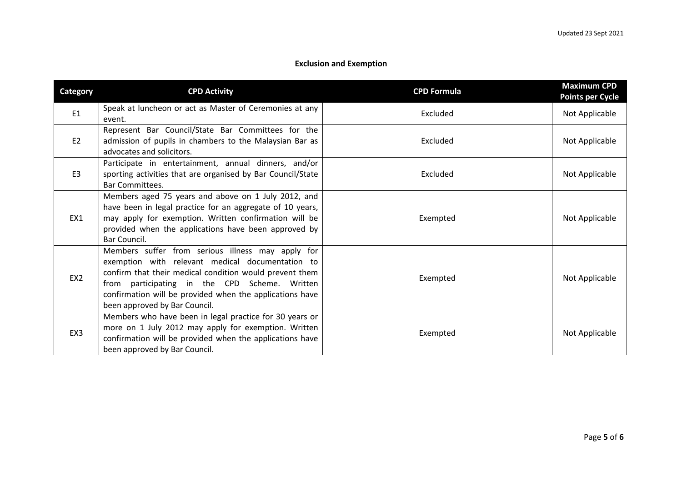## **Exclusion and Exemption**

| <b>Category</b> | <b>CPD Activity</b>                                                                                                                                                                                                                                                                                            | <b>CPD Formula</b> | <b>Maximum CPD</b><br><b>Points per Cycle</b> |
|-----------------|----------------------------------------------------------------------------------------------------------------------------------------------------------------------------------------------------------------------------------------------------------------------------------------------------------------|--------------------|-----------------------------------------------|
| E1              | Speak at luncheon or act as Master of Ceremonies at any<br>event.                                                                                                                                                                                                                                              | Excluded           | Not Applicable                                |
| E <sub>2</sub>  | Represent Bar Council/State Bar Committees for the<br>admission of pupils in chambers to the Malaysian Bar as<br>advocates and solicitors.                                                                                                                                                                     | Excluded           | Not Applicable                                |
| E <sub>3</sub>  | Participate in entertainment, annual dinners, and/or<br>sporting activities that are organised by Bar Council/State<br><b>Bar Committees.</b>                                                                                                                                                                  | Excluded           | Not Applicable                                |
| EX1             | Members aged 75 years and above on 1 July 2012, and<br>have been in legal practice for an aggregate of 10 years,<br>may apply for exemption. Written confirmation will be<br>provided when the applications have been approved by<br>Bar Council.                                                              | Exempted           | Not Applicable                                |
| EX <sub>2</sub> | Members suffer from serious illness may apply for<br>exemption with relevant medical documentation to<br>confirm that their medical condition would prevent them<br>from participating in the CPD Scheme. Written<br>confirmation will be provided when the applications have<br>been approved by Bar Council. | Exempted           | Not Applicable                                |
| EX3             | Members who have been in legal practice for 30 years or<br>more on 1 July 2012 may apply for exemption. Written<br>confirmation will be provided when the applications have<br>been approved by Bar Council.                                                                                                   | Exempted           | Not Applicable                                |